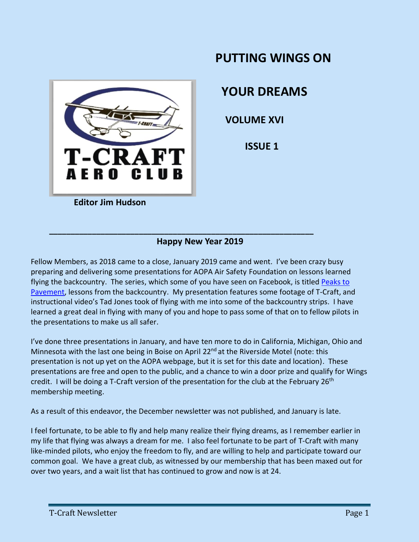

# **PUTTING WINGS ON**

 **YOUR DREAMS**

 **VOLUME XVI**

 **ISSUE 1**

# **Happy New Year 2019**

**\_\_\_\_\_\_\_\_\_\_\_\_\_\_\_\_\_\_\_\_\_\_\_\_\_\_\_\_\_\_\_\_\_\_\_\_\_\_\_\_\_\_\_\_\_\_\_\_\_\_\_\_\_\_\_\_\_\_\_\_\_\_**

Fellow Members, as 2018 came to a close, January 2019 came and went. I've been crazy busy preparing and delivering some presentations for AOPA Air Safety Foundation on lessons learned flying the backcountry. The series, which some of you have seen on Facebook, is titled Peaks to [Pavement,](https://www.aopa.org/training-and-safety/air-safety-institute/in-person-seminars?_ga=2.63993519.1699415084.1542745774-123771126.1542745774) lessons from the backcountry. My presentation features some footage of T-Craft, and instructional video's Tad Jones took of flying with me into some of the backcountry strips. I have learned a great deal in flying with many of you and hope to pass some of that on to fellow pilots in the presentations to make us all safer.

I've done three presentations in January, and have ten more to do in California, Michigan, Ohio and Minnesota with the last one being in Boise on April 22<sup>nd</sup> at the Riverside Motel (note: this presentation is not up yet on the AOPA webpage, but it is set for this date and location). These presentations are free and open to the public, and a chance to win a door prize and qualify for Wings credit. I will be doing a T-Craft version of the presentation for the club at the February  $26<sup>th</sup>$ membership meeting.

As a result of this endeavor, the December newsletter was not published, and January is late.

I feel fortunate, to be able to fly and help many realize their flying dreams, as I remember earlier in my life that flying was always a dream for me. I also feel fortunate to be part of T-Craft with many like-minded pilots, who enjoy the freedom to fly, and are willing to help and participate toward our common goal. We have a great club, as witnessed by our membership that has been maxed out for over two years, and a wait list that has continued to grow and now is at 24.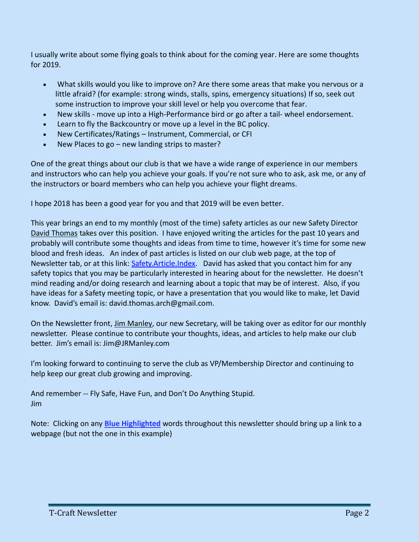I usually write about some flying goals to think about for the coming year. Here are some thoughts for 2019.

- What skills would you like to improve on? Are there some areas that make you nervous or a little afraid? (for example: strong winds, stalls, spins, emergency situations) If so, seek out some instruction to improve your skill level or help you overcome that fear.
- New skills move up into a High-Performance bird or go after a tail- wheel endorsement.
- Learn to fly the Backcountry or move up a level in the BC policy.
- New Certificates/Ratings Instrument, Commercial, or CFI
- New Places to go new landing strips to master?

One of the great things about our club is that we have a wide range of experience in our members and instructors who can help you achieve your goals. If you're not sure who to ask, ask me, or any of the instructors or board members who can help you achieve your flight dreams.

I hope 2018 has been a good year for you and that 2019 will be even better.

This year brings an end to my monthly (most of the time) safety articles as our new Safety Director David Thomas takes over this position. I have enjoyed writing the articles for the past 10 years and probably will contribute some thoughts and ideas from time to time, however it's time for some new blood and fresh ideas. An index of past articles is listed on our club web page, at the top of Newsletter tab, or at this link: [Safety.Article.Index.](http://www.t-craft.org/Newsletters/Safety.Article.Index.pdf) David has asked that you contact him for any safety topics that you may be particularly interested in hearing about for the newsletter. He doesn't mind reading and/or doing research and learning about a topic that may be of interest. Also, if you have ideas for a Safety meeting topic, or have a presentation that you would like to make, let David know. David's email is: david.thomas.arch@gmail.com.

On the Newsletter front, Jim Manley, our new Secretary, will be taking over as editor for our monthly newsletter. Please continue to contribute your thoughts, ideas, and articles to help make our club better. Jim's email is: Jim@JRManley.com

I'm looking forward to continuing to serve the club as VP/Membership Director and continuing to help keep our great club growing and improving.

And remember -- Fly Safe, Have Fun, and Don't Do Anything Stupid. Jim

Note: Clicking on any **Blue Highlighted** words throughout this newsletter should bring up a link to a webpage (but not the one in this example)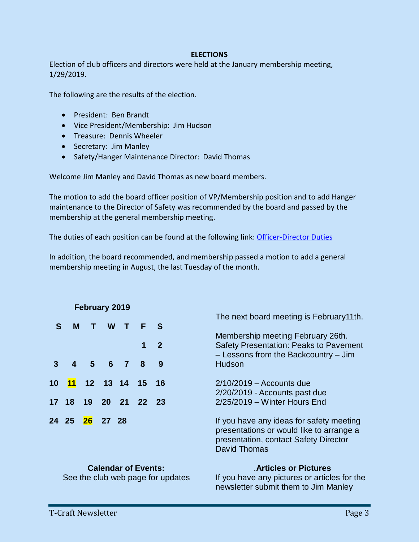### **ELECTIONS**

Election of club officers and directors were held at the January membership meeting, 1/29/2019.

The following are the results of the election.

- President: Ben Brandt
- Vice President/Membership: Jim Hudson
- Treasure: Dennis Wheeler
- Secretary: Jim Manley
- Safety/Hanger Maintenance Director: David Thomas

Welcome Jim Manley and David Thomas as new board members.

The motion to add the board officer position of VP/Membership position and to add Hanger maintenance to the Director of Safety was recommended by the board and passed by the membership at the general membership meeting.

The duties of each position can be found at the following link: [Officer-Director Duties](http://www.t-craft.org/duties.pdf)

In addition, the board recommended, and membership passed a motion to add a general membership meeting in August, the last Tuesday of the month.

| <b>February 2019</b> |                               |    |   |         |                |             |                                                                                                                                                      |
|----------------------|-------------------------------|----|---|---------|----------------|-------------|------------------------------------------------------------------------------------------------------------------------------------------------------|
| S                    | м                             | T. | W | a ka    | F              | S           | The next board meeting is February 11th.                                                                                                             |
|                      |                               |    |   |         | 1              | $\mathbf 2$ | Membership meeting February 26th.<br><b>Safety Presentation: Peaks to Pavement</b><br>- Lessons from the Backcountry - Jim                           |
|                      |                               |    |   | 4 5 6 7 | 8              | 9           | Hudson                                                                                                                                               |
| 10                   | $\blacksquare$ 11             |    |   |         | 12 13 14 15 16 |             | $2/10/2019$ – Accounts due<br>2/20/2019 - Accounts past due                                                                                          |
|                      | 17 18                         |    |   |         | 19 20 21 22 23 |             | $2/25/2019$ – Winter Hours End                                                                                                                       |
|                      | 24  25 <mark>26</mark> 27  28 |    |   |         |                |             | If you have any ideas for safety meeting<br>presentations or would like to arrange a<br>presentation, contact Safety Director<br><b>David Thomas</b> |

### **Calendar of Events:**

### .**Articles or Pictures**

See the club web page for updates

If you have any pictures or articles for the newsletter submit them to Jim Manley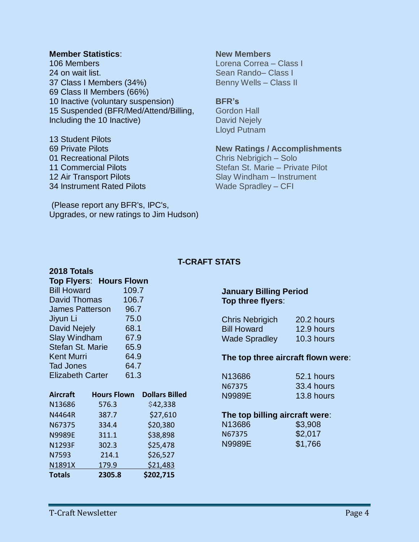### **Member Statistics**:

106 Members on wait list. Class I Members (34%) Class II Members (66%) Inactive (voluntary suspension) Suspended (BFR/Med/Attend/Billing, Including the 10 Inactive)

 Student Pilots Private Pilots 01 Recreational Pilots Commercial Pilots Air Transport Pilots Instrument Rated Pilots

**2018 Totals**

**New Members** Lorena Correa – Class I Sean Rando– Class I Benny Wells – Class II

### **BFR's**

Gordon Hall David Nejely Lloyd Putnam

### **New Ratings / Accomplishments**

Chris Nebrigich – Solo Stefan St. Marie – Private Pilot Slay Windham – Instrument Wade Spradley – CFI

(Please report any BFR's, IPC's, Upgrades, or new ratings to Jim Hudson)

# **T-CRAFT STATS**

| <b>Top Flyers: Hours Flown</b> |       |  |
|--------------------------------|-------|--|
| <b>Bill Howard</b>             | 109.7 |  |
| David Thomas                   | 106.7 |  |
| <b>James Patterson</b>         | 96.7  |  |
| Jiyun Li                       | 75.0  |  |
| <b>David Nejely</b>            | 68.1  |  |
| <b>Slay Windham</b>            | 67.9  |  |
| Stefan St. Marie               | 65.9  |  |
| Kent Murri                     | 64.9  |  |
| <b>Tad Jones</b>               | 64.7  |  |
| <b>Elizabeth Carter</b>        | 61.3  |  |

| <b>Aircraft</b> | <b>Hours Flown</b> | <b>Dollars Billed</b> |
|-----------------|--------------------|-----------------------|
| N13686          | 576.3              | \$42,338              |
| N4464R          | 387.7              | \$27,610              |
| N67375          | 334.4              | \$20,380              |
| <b>N9989E</b>   | 311.1              | \$38,898              |
| N1293F          | 302.3              | \$25,478              |
| N7593           | 214.1              | \$26,527              |
| N1891X          | 179.9              | \$21,483              |
| <b>Totals</b>   | 2305.8             | \$202,715             |

### **January Billing Period Top three flyers**:

| <b>Chris Nebrigich</b> | 20.2 hours |
|------------------------|------------|
| <b>Bill Howard</b>     | 12.9 hours |
| <b>Wade Spradley</b>   | 10.3 hours |

### **The top three aircraft flown were**:

| N13686 | $52.1$ hours |
|--------|--------------|
| N67375 | 33.4 hours   |
| N9989E | 13.8 hours   |

### **The top billing aircraft were**:

| N13686. | \$3,908 |
|---------|---------|
| N67375  | \$2,017 |
| N9989E  | \$1,766 |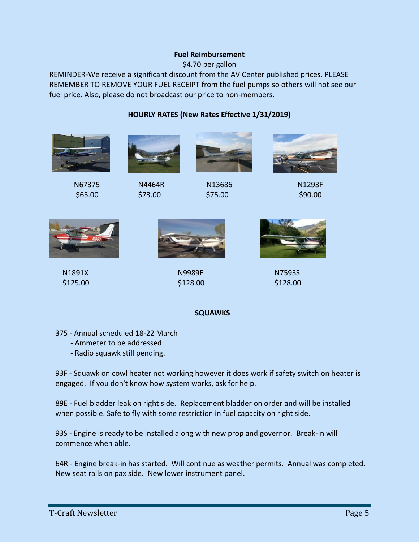### **Fuel Reimbursement**

\$4.70 per gallon

REMINDER-We receive a significant discount from the AV Center published prices. PLEASE REMEMBER TO REMOVE YOUR FUEL RECEIPT from the fuel pumps so others will not see our fuel price. Also, please do not broadcast our price to non-members.

**HOURLY RATES (New Rates Effective 1/31/2019)**



 N1891X N9989E N7593S  $$125.00$   $$128.00$   $$128.00$ 



### **SQUAWKS**

- 375 Annual scheduled 18-22 March
	- Ammeter to be addressed
	- Radio squawk still pending.

93F - Squawk on cowl heater not working however it does work if safety switch on heater is engaged. If you don't know how system works, ask for help.

89E - Fuel bladder leak on right side. Replacement bladder on order and will be installed when possible. Safe to fly with some restriction in fuel capacity on right side.

93S - Engine is ready to be installed along with new prop and governor. Break-in will commence when able.

64R - Engine break-in has started. Will continue as weather permits. Annual was completed. New seat rails on pax side. New lower instrument panel.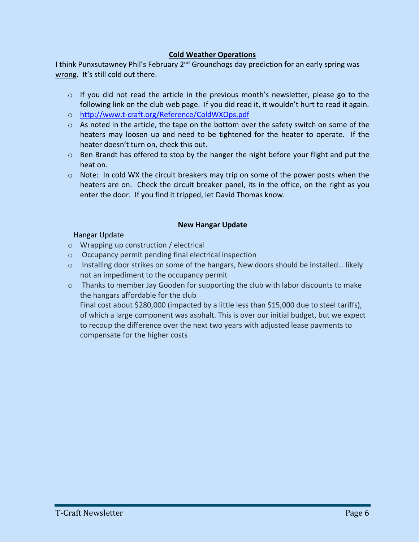### **Cold Weather Operations**

I think Punxsutawney Phil's February 2<sup>nd</sup> Groundhogs day prediction for an early spring was wrong. It's still cold out there.

- o If you did not read the article in the previous month's newsletter, please go to the following link on the club web page. If you did read it, it wouldn't hurt to read it again.
- o <http://www.t-craft.org/Reference/ColdWXOps.pdf>
- $\circ$  As noted in the article, the tape on the bottom over the safety switch on some of the heaters may loosen up and need to be tightened for the heater to operate. If the heater doesn't turn on, check this out.
- $\circ$  Ben Brandt has offered to stop by the hanger the night before your flight and put the heat on.
- $\circ$  Note: In cold WX the circuit breakers may trip on some of the power posts when the heaters are on. Check the circuit breaker panel, its in the office, on the right as you enter the door. If you find it tripped, let David Thomas know.

### **New Hangar Update**

# Hangar Update

- o Wrapping up construction / electrical
- o Occupancy permit pending final electrical inspection
- $\circ$  Installing door strikes on some of the hangars, New doors should be installed... likely not an impediment to the occupancy permit
- $\circ$  Thanks to member Jay Gooden for supporting the club with labor discounts to make the hangars affordable for the club

Final cost about \$280,000 (impacted by a little less than \$15,000 due to steel tariffs), of which a large component was asphalt. This is over our initial budget, but we expect to recoup the difference over the next two years with adjusted lease payments to compensate for the higher costs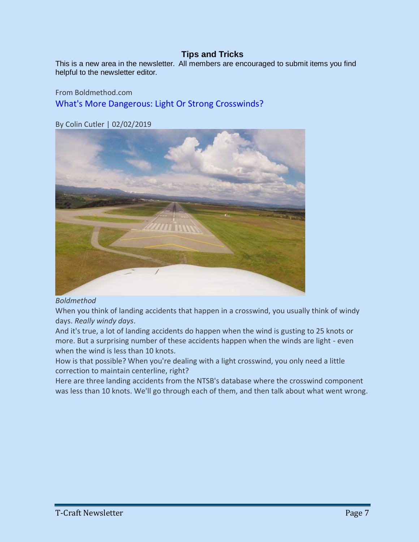# **Tips and Tricks**

This is a new area in the newsletter. All members are encouraged to submit items you find helpful to the newsletter editor.

From Boldmethod.com [What's More Dangerous: Light Or Strong Crosswinds?](https://www.boldmethod.com/learn-to-fly/weather/what-is-more-dangerous-light-or-strong-crosswind-landings-this-spring/) 

By Colin Cutler | 02/02/2019



### *Boldmethod*

When you think of landing accidents that happen in a crosswind, you usually think of windy days. *Really windy days*.

And it's true, a lot of landing accidents do happen when the wind is gusting to 25 knots or more. But a surprising number of these accidents happen when the winds are light - even when the wind is less than 10 knots.

How is that possible? When you're dealing with a light crosswind, you only need a little correction to maintain centerline, right?

Here are three landing accidents from the NTSB's database where the crosswind component was less than 10 knots. We'll go through each of them, and then talk about what went wrong.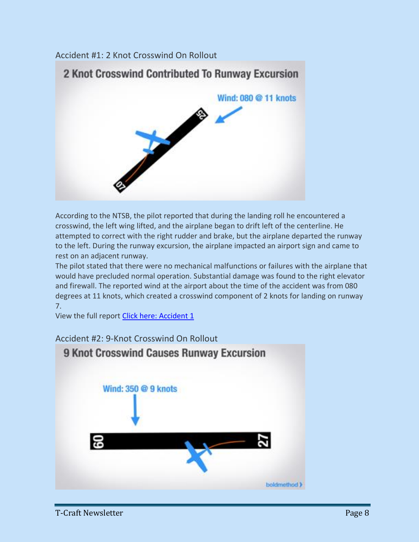# Accident #1: 2 Knot Crosswind On Rollout



According to the NTSB, the pilot reported that during the landing roll he encountered a crosswind, the left wing lifted, and the airplane began to drift left of the centerline. He attempted to correct with the right rudder and brake, but the airplane departed the runway to the left. During the runway excursion, the airplane impacted an airport sign and came to rest on an adjacent runway.

The pilot stated that there were no mechanical malfunctions or failures with the airplane that would have precluded normal operation. Substantial damage was found to the right elevator and firewall. The reported wind at the airport about the time of the accident was from 080 degrees at 11 knots, which created a crosswind component of 2 knots for landing on runway 7.

View the full report [Click here: Accident 1](https://app.ntsb.gov/pdfgenerator/ReportGeneratorFile.ashx?EventID=20150702X44556&AKey=1&RType=Final&IType=CA)

# Accident #2: 9-Knot Crosswind On Rollout

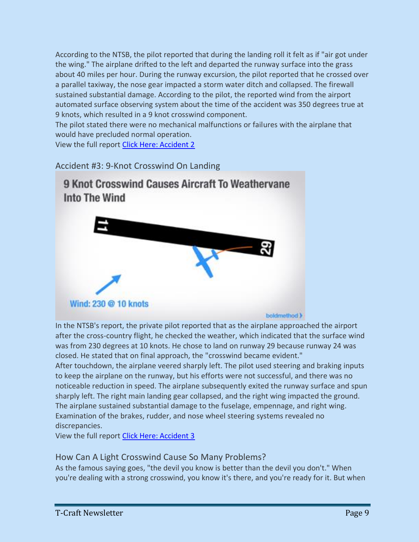According to the NTSB, the pilot reported that during the landing roll it felt as if "air got under the wing." The airplane drifted to the left and departed the runway surface into the grass about 40 miles per hour. During the runway excursion, the pilot reported that he crossed over a parallel taxiway, the nose gear impacted a storm water ditch and collapsed. The firewall sustained substantial damage. According to the pilot, the reported wind from the airport automated surface observing system about the time of the accident was 350 degrees true at 9 knots, which resulted in a 9 knot crosswind component.

The pilot stated there were no mechanical malfunctions or failures with the airplane that would have precluded normal operation.

View the full report [Click Here: Accident 2](https://app.ntsb.gov/pdfgenerator/ReportGeneratorFile.ashx?EventID=20150827X63051&AKey=1&RType=Final&IType=CA)

Accident #3: 9-Knot Crosswind On Landing



In the NTSB's report, the private pilot reported that as the airplane approached the airport after the cross-country flight, he checked the weather, which indicated that the surface wind was from 230 degrees at 10 knots. He chose to land on runway 29 because runway 24 was closed. He stated that on final approach, the "crosswind became evident."

After touchdown, the airplane veered sharply left. The pilot used steering and braking inputs to keep the airplane on the runway, but his efforts were not successful, and there was no noticeable reduction in speed. The airplane subsequently exited the runway surface and spun sharply left. The right main landing gear collapsed, and the right wing impacted the ground. The airplane sustained substantial damage to the fuselage, empennage, and right wing. Examination of the brakes, rudder, and nose wheel steering systems revealed no discrepancies.

View the full report [Click Here: Accident 3](https://app.ntsb.gov/pdfgenerator/ReportGeneratorFile.ashx?EventID=20150914X20901&AKey=1&RType=Final&IType=LA)

# How Can A Light Crosswind Cause So Many Problems?

As the famous saying goes, "the devil you know is better than the devil you don't." When you're dealing with a strong crosswind, you know it's there, and you're ready for it. But when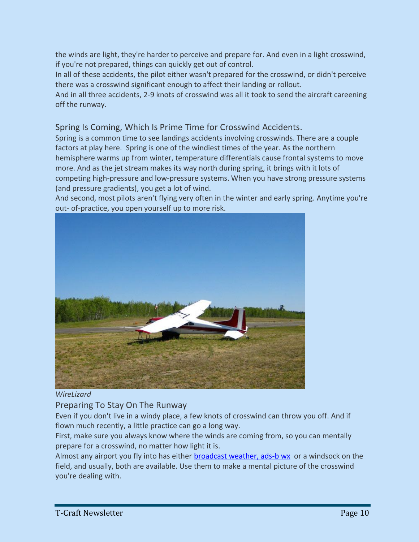the winds are light, they're harder to perceive and prepare for. And even in a light crosswind, if you're not prepared, things can quickly get out of control.

In all of these accidents, the pilot either wasn't prepared for the crosswind, or didn't perceive there was a crosswind significant enough to affect their landing or rollout.

And in all three accidents, 2-9 knots of crosswind was all it took to send the aircraft careening off the runway.

Spring Is Coming, Which Is Prime Time for Crosswind Accidents.

Spring is a common time to see landings accidents involving crosswinds. There are a couple factors at play here. Spring is one of the windiest times of the year. As the northern hemisphere warms up from winter, temperature differentials cause frontal systems to move more. And as the jet stream makes its way north during spring, it brings with it lots of competing high-pressure and low-pressure systems. When you have strong pressure systems (and pressure gradients), you get a lot of wind.

And second, most pilots aren't flying very often in the winter and early spring. Anytime you're out- of-practice, you open yourself up to more risk.



*WireLizard* 

# Preparing To Stay On The Runway

Even if you don't live in a windy place, a few knots of crosswind can throw you off. And if flown much recently, a little practice can go a long way.

First, make sure you always know where the winds are coming from, so you can mentally prepare for a crosswind, no matter how light it is.

Almost any airport you fly into has either [broadcast weather, ads-b wx](https://www.boldmethod.com/learn-to-fly/weather/how-is-asos-weather-different-than-ads-b/) or a windsock on the field, and usually, both are available. Use them to make a mental picture of the crosswind you're dealing with.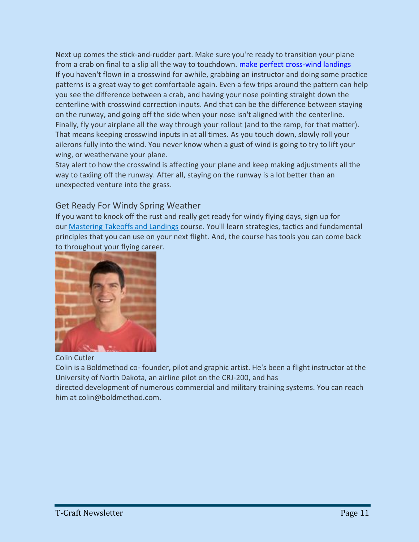Next up comes the stick-and-rudder part. Make sure you're ready to transition your plane from a crab on final to a slip all the way to touchdown. [make perfect cross-wind landings](https://www.boldmethod.com/learn-to-fly/maneuvers/how-to-make-a-perfect-crosswind-landing/) If you haven't flown in a crosswind for awhile, grabbing an instructor and doing some practice patterns is a great way to get comfortable again. Even a few trips around the pattern can help you see the difference between a crab, and having your nose pointing straight down the centerline with crosswind correction inputs. And that can be the difference between staying on the runway, and going off the side when your nose isn't aligned with the centerline. Finally, fly your airplane all the way through your rollout (and to the ramp, for that matter). That means keeping crosswind inputs in at all times. As you touch down, slowly roll your ailerons fully into the wind. You never know when a gust of wind is going to try to lift your wing, or weathervane your plane.

Stay alert to how the crosswind is affecting your plane and keep making adjustments all the way to taxiing off the runway. After all, staying on the runway is a lot better than an unexpected venture into the grass.

# Get Ready For Windy Spring Weather

If you want to knock off the rust and really get ready for windy flying days, sign up for our [Mastering Takeoffs and Landings](https://www.boldmethod.com/shopping/package/vfr-mastery/pkg-master-tl/) course. You'll learn strategies, tactics and fundamental principles that you can use on your next flight. And, the course has tools you can come back to throughout your flying career.



Colin Cutler

Colin is a Boldmethod co- founder, pilot and graphic artist. He's been a flight instructor at the University of North Dakota, an airline pilot on the CRJ-200, and has

directed development of numerous commercial and military training systems. You can reach him at colin@boldmethod.com.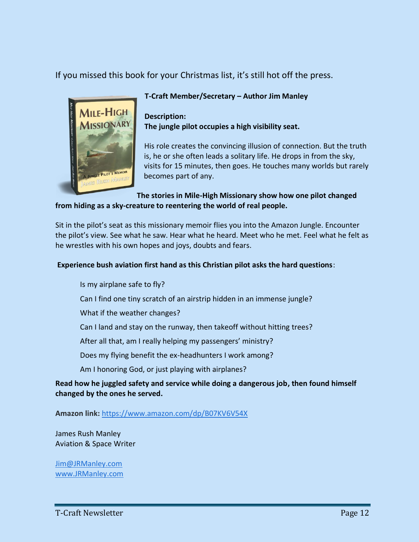If you missed this book for your Christmas list, it's still hot off the press.



# **T-Craft Member/Secretary – Author Jim Manley**

**Description: The jungle pilot occupies a high visibility seat.**

His role creates the convincing illusion of connection. But the truth is, he or she often leads a solitary life. He drops in from the sky, visits for 15 minutes, then goes. He touches many worlds but rarely becomes part of any.

### **The stories in Mile-High Missionary show how one pilot changed from hiding as a sky-creature to reentering the world of real people.**

Sit in the pilot's seat as this missionary memoir flies you into the Amazon Jungle. Encounter the pilot's view. See what he saw. Hear what he heard. Meet who he met. Feel what he felt as he wrestles with his own hopes and joys, doubts and fears.

# **Experience bush aviation first hand as this Christian pilot asks the hard questions**:

- Is my airplane safe to fly?
- Can I find one tiny scratch of an airstrip hidden in an immense jungle?
- What if the weather changes?
- Can I land and stay on the runway, then takeoff without hitting trees?
- After all that, am I really helping my passengers' ministry?
- Does my flying benefit the ex-headhunters I work among?
- Am I honoring God, or just playing with airplanes?

# **Read how he juggled safety and service while doing a dangerous job, then found himself changed by the ones he served.**

**Amazon link:** <https://www.amazon.com/dp/B07KV6V54X>

James Rush Manley Aviation & Space Writer

[Jim@JRManley.com](mailto:Jim@JRManley.com) [www.JRManley.com](http://jrmanley.com/)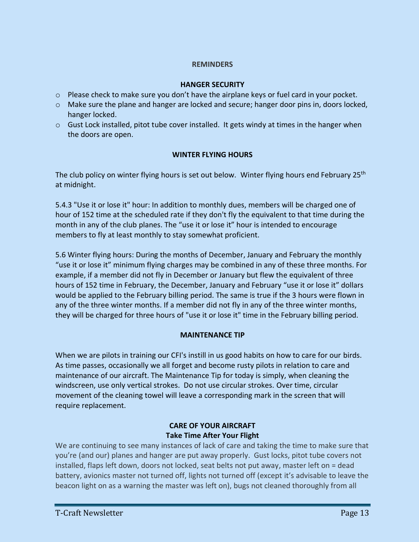### **REMINDERS**

### **HANGER SECURITY**

- $\circ$  Please check to make sure you don't have the airplane keys or fuel card in your pocket.
- o Make sure the plane and hanger are locked and secure; hanger door pins in, doors locked, hanger locked.
- $\circ$  Gust Lock installed, pitot tube cover installed. It gets windy at times in the hanger when the doors are open.

# **WINTER FLYING HOURS**

The club policy on winter flying hours is set out below. Winter flying hours end February 25<sup>th</sup> at midnight.

5.4.3 "Use it or lose it" hour: In addition to monthly dues, members will be charged one of hour of 152 time at the scheduled rate if they don't fly the equivalent to that time during the month in any of the club planes. The "use it or lose it" hour is intended to encourage members to fly at least monthly to stay somewhat proficient.

5.6 Winter flying hours: During the months of December, January and February the monthly "use it or lose it" minimum flying charges may be combined in any of these three months. For example, if a member did not fly in December or January but flew the equivalent of three hours of 152 time in February, the December, January and February "use it or lose it" dollars would be applied to the February billing period. The same is true if the 3 hours were flown in any of the three winter months. If a member did not fly in any of the three winter months, they will be charged for three hours of "use it or lose it" time in the February billing period.

### **MAINTENANCE TIP**

When we are pilots in training our CFI's instill in us good habits on how to care for our birds. As time passes, occasionally we all forget and become rusty pilots in relation to care and maintenance of our aircraft. The Maintenance Tip for today is simply, when cleaning the windscreen, use only vertical strokes. Do not use circular strokes. Over time, circular movement of the cleaning towel will leave a corresponding mark in the screen that will require replacement.

# **CARE OF YOUR AIRCRAFT Take Time After Your Flight**

We are continuing to see many instances of lack of care and taking the time to make sure that you're (and our) planes and hanger are put away properly. Gust locks, pitot tube covers not installed, flaps left down, doors not locked, seat belts not put away, master left on = dead battery, avionics master not turned off, lights not turned off (except it's advisable to leave the beacon light on as a warning the master was left on), bugs not cleaned thoroughly from all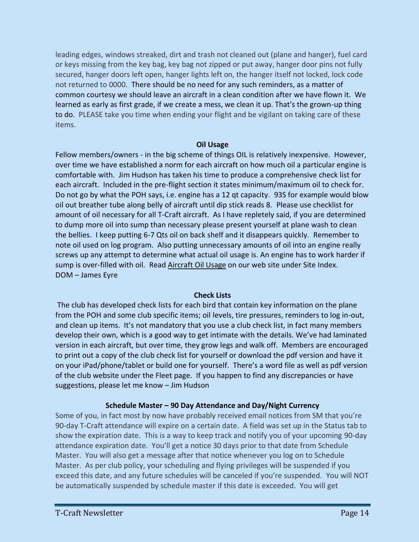leading edges, windows streaked, dirt and trash not cleaned out (plane and hanger), fuel card or keys missing from the key bag, key bag not zipped or put away, hanger door pins not fully secured, hanger doors left open, hanger lights left on, the hanger itself not locked, lock code not returned to 0000. There should be no need for any such reminders, as a matter of common courtesy we should leave an aircraft in a clean condition after we have flown it. We learned as early as first grade, if we create a mess, we clean it up. That's the grown-up thing to do. PLEASE take you time when ending your flight and be vigilant on taking care of these items.

### **Oil Usage**

Fellow members/owners - in the big scheme of things OIL is relatively inexpensive. However, over time we have established a norm for each aircraft on how much oil a particular engine is comfortable with. Jim Hudson has taken his time to produce a comprehensive check list for each aircraft. Included in the pre-flight section it states minimum/maximum oil to check for. Do not go by what the POH says, i.e. engine has a 12 qt capacity. 93S for example would blow oil out breather tube along belly of aircraft until dip stick reads 8. Please use checklist for amount of oil necessary for all T-Craft aircraft. As I have repletely said, if you are determined to dump more oil into sump than necessary please present yourself at plane wash to clean the bellies. I keep putting 6-7 Qts oil on back shelf and it disappears quickly. Remember to note oil used on log program. Also putting unnecessary amounts of oil into an engine really screws up any attempt to determine what actual oil usage is. An engine has to work harder if sump is over-filled with oil. Read Aircraft Oil Usage on our web site under Site Index. DOM – James Eyre

### **Check Lists**

The club has developed check lists for each bird that contain key information on the plane from the POH and some club specific items; oil levels, tire pressures, reminders to log in-out, and clean up items. It's not mandatory that you use a club check list, in fact many members develop their own, which is a good way to get intimate with the details. We've had laminated version in each aircraft, but over time, they grow legs and walk off. Members are encouraged to print out a copy of the club check list for yourself or download the pdf version and have it on your iPad/phone/tablet or build one for yourself. There's a word file as well as pdf version of the club website under the Fleet page. If you happen to find any discrepancies or have suggestions, please let me know – Jim Hudson

### **Schedule Master – 90 Day Attendance and Day/Night Currency**

Some of you, in fact most by now have probably received email notices from SM that you're 90-day T-Craft attendance will expire on a certain date. A field was set up in the Status tab to show the expiration date. This is a way to keep track and notify you of your upcoming 90-day attendance expiration date. You'll get a notice 30 days prior to that date from Schedule Master. You will also get a message after that notice whenever you log on to Schedule Master. As per club policy, your scheduling and flying privileges will be suspended if you exceed this date, and any future schedules will be canceled if you're suspended. You will NOT be automatically suspended by schedule master if this date is exceeded. You will get